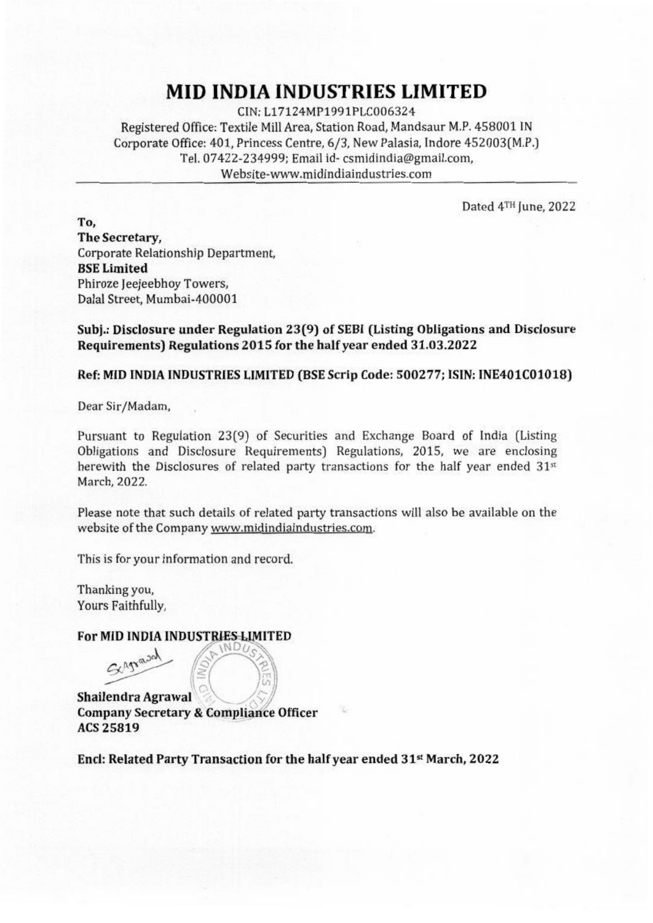## **MID INDIA INDUSTRIES LIMITED**

CIN:L17124MP1991PLC006324 Registered Office: Textile Mill Area, Station Road, Mandsaur M.P. 458001 IN Corporate Office:401. Princess Centre. 6/3. New Palasia, Indore 452003(M.P.) Tel. 07422-234999; Email id-csmidindia@gmail.com. Webslte-www.midindiaindustries.com

Dated 4TH June. 2022

To. The Secretary. Corporate Relationship Department. BSELimited Phiroze Jeejeebhoy Towers, Dalal Street. Mumbai-400001

Subl.: Disclosure under Regulation 23(9) of SEDI (Listing Obligations and Disclosure Requirements) Regulations 2015 for the half year ended 31.03.2022

Ref: MID INDIA INDUSTRIES LIMITED (BSE Scrip Code: 500277; ISIN: INE401C01018)

Dear Sir/Madam.

Pursuant to Regulation 23(9) of Securities and Exchange Board of India (Listing Obligations and Disclosure Requirements) Regulations. 2015. we are enclosing herewith the Disclosures of related party transactions for the half year ended  $31<sup>st</sup>$ March. 2022.

Please note that such details of related party transactions will also be available on the website of the Company www.midindiaindustries.com.

This is for your information and record.

Thanking you. Yours Faithfully.

 $G$ *Apradal* 

or MID INDIA INDUSTRIES LIMITED *th MDUSTRIBUS* 

Shailendra Agrawal Company Secretary & Compliance Officer ACS25819

End: Related Party Transaction for the half year ended 31" March. 2022